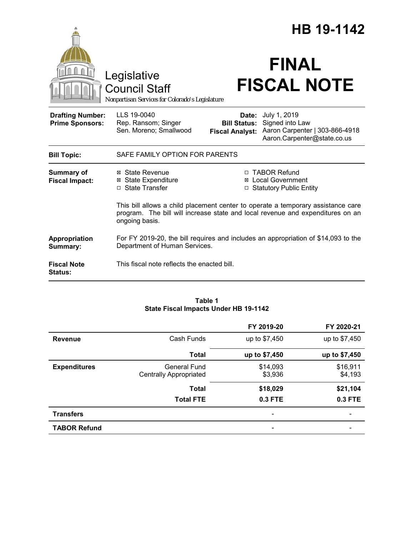|                                                   |                                                                                                                                                                                      | HB 19-1142                   |                                                                                                                  |
|---------------------------------------------------|--------------------------------------------------------------------------------------------------------------------------------------------------------------------------------------|------------------------------|------------------------------------------------------------------------------------------------------------------|
|                                                   | Legislative<br><b>Council Staff</b><br>Nonpartisan Services for Colorado's Legislature                                                                                               |                              | <b>FINAL</b><br><b>FISCAL NOTE</b>                                                                               |
| <b>Drafting Number:</b><br><b>Prime Sponsors:</b> | LLS 19-0040<br>Rep. Ransom; Singer<br>Sen. Moreno; Smallwood                                                                                                                         | Date:<br><b>Bill Status:</b> | July 1, 2019<br>Signed into Law<br>Fiscal Analyst: Aaron Carpenter   303-866-4918<br>Aaron.Carpenter@state.co.us |
| <b>Bill Topic:</b>                                | SAFE FAMILY OPTION FOR PARENTS                                                                                                                                                       |                              |                                                                                                                  |
| <b>Summary of</b><br><b>Fiscal Impact:</b>        | ⊠ State Revenue<br><b>⊠</b> State Expenditure<br>□ State Transfer                                                                                                                    | ⊠                            | □ TABOR Refund<br><b>Local Government</b><br><b>Statutory Public Entity</b>                                      |
|                                                   | This bill allows a child placement center to operate a temporary assistance care<br>program. The bill will increase state and local revenue and expenditures on an<br>ongoing basis. |                              |                                                                                                                  |
| Appropriation<br>Summary:                         | For FY 2019-20, the bill requires and includes an appropriation of \$14,093 to the<br>Department of Human Services.                                                                  |                              |                                                                                                                  |
| <b>Fiscal Note</b><br><b>Status:</b>              | This fiscal note reflects the enacted bill.                                                                                                                                          |                              |                                                                                                                  |

#### **Table 1 State Fiscal Impacts Under HB 19-1142**

|                     |                                               | FY 2019-20          | FY 2020-21          |
|---------------------|-----------------------------------------------|---------------------|---------------------|
| <b>Revenue</b>      | Cash Funds                                    | up to \$7,450       | up to \$7,450       |
|                     | <b>Total</b>                                  | up to \$7,450       | up to \$7,450       |
| <b>Expenditures</b> | General Fund<br><b>Centrally Appropriated</b> | \$14,093<br>\$3,936 | \$16,911<br>\$4,193 |
|                     | <b>Total</b>                                  | \$18,029            | \$21,104            |
|                     | <b>Total FTE</b>                              | 0.3 FTE             | 0.3 FTE             |
| <b>Transfers</b>    |                                               | -                   |                     |
| <b>TABOR Refund</b> |                                               | -                   |                     |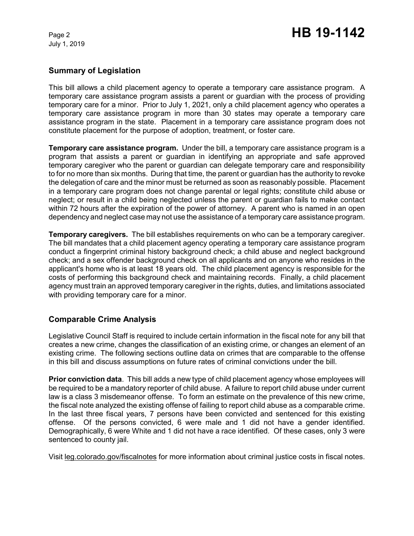## **Summary of Legislation**

This bill allows a child placement agency to operate a temporary care assistance program. A temporary care assistance program assists a parent or guardian with the process of providing temporary care for a minor. Prior to July 1, 2021, only a child placement agency who operates a temporary care assistance program in more than 30 states may operate a temporary care assistance program in the state. Placement in a temporary care assistance program does not constitute placement for the purpose of adoption, treatment, or foster care.

**Temporary care assistance program.** Under the bill, a temporary care assistance program is a program that assists a parent or guardian in identifying an appropriate and safe approved temporary caregiver who the parent or guardian can delegate temporary care and responsibility to for no more than six months. During that time, the parent or guardian has the authority to revoke the delegation of care and the minor must be returned as soon as reasonably possible. Placement in a temporary care program does not change parental or legal rights; constitute child abuse or neglect; or result in a child being neglected unless the parent or guardian fails to make contact within 72 hours after the expiration of the power of attorney. A parent who is named in an open dependency and neglect case may not use the assistance of a temporary care assistance program.

**Temporary caregivers.** The bill establishes requirements on who can be a temporary caregiver. The bill mandates that a child placement agency operating a temporary care assistance program conduct a fingerprint criminal history background check; a child abuse and neglect background check; and a sex offender background check on all applicants and on anyone who resides in the applicant's home who is at least 18 years old. The child placement agency is responsible for the costs of performing this background check and maintaining records. Finally, a child placement agency must train an approved temporary caregiver in the rights, duties, and limitations associated with providing temporary care for a minor.

# **Comparable Crime Analysis**

Legislative Council Staff is required to include certain information in the fiscal note for any bill that creates a new crime, changes the classification of an existing crime, or changes an element of an existing crime. The following sections outline data on crimes that are comparable to the offense in this bill and discuss assumptions on future rates of criminal convictions under the bill.

**Prior conviction data**. This bill adds a new type of child placement agency whose employees will be required to be a mandatory reporter of child abuse. A failure to report child abuse under current law is a class 3 misdemeanor offense. To form an estimate on the prevalence of this new crime, the fiscal note analyzed the existing offense of failing to report child abuse as a comparable crime. In the last three fiscal years, 7 persons have been convicted and sentenced for this existing offense. Of the persons convicted, 6 were male and 1 did not have a gender identified. Demographically, 6 were White and 1 did not have a race identified. Of these cases, only 3 were sentenced to county jail.

Visit leg.colorado.gov/fiscalnotes for more information about criminal justice costs in fiscal notes.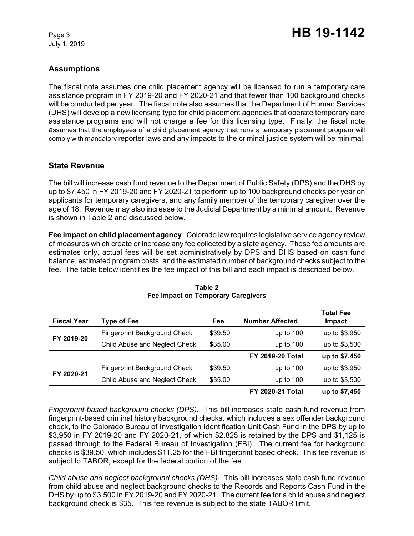# **Assumptions**

The fiscal note assumes one child placement agency will be licensed to run a temporary care assistance program in FY 2019-20 and FY 2020-21 and that fewer than 100 background checks will be conducted per year. The fiscal note also assumes that the Department of Human Services (DHS) will develop a new licensing type for child placement agencies that operate temporary care assistance programs and will not charge a fee for this licensing type. Finally, the fiscal note assumes that the employees of a child placement agency that runs a temporary placement program will comply with mandatory reporter laws and any impacts to the criminal justice system will be minimal.

## **State Revenue**

The bill will increase cash fund revenue to the Department of Public Safety (DPS) and the DHS by up to \$7,450 in FY 2019-20 and FY 2020-21 to perform up to 100 background checks per year on applicants for temporary caregivers, and any family member of the temporary caregiver over the age of 18. Revenue may also increase to the Judicial Department by a minimal amount. Revenue is shown in Table 2 and discussed below.

**Fee impact on child placement agency**. Colorado law requires legislative service agency review of measures which create or increase any fee collected by a state agency. These fee amounts are estimates only, actual fees will be set administratively by DPS and DHS based on cash fund balance, estimated program costs, and the estimated number of background checks subject to the fee. The table below identifies the fee impact of this bill and each impact is described below.

| <b>Fiscal Year</b> | <b>Type of Fee</b>                  | Fee     | <b>Number Affected</b>  | <b>Total Fee</b><br>Impact |
|--------------------|-------------------------------------|---------|-------------------------|----------------------------|
| FY 2019-20         | <b>Fingerprint Background Check</b> | \$39.50 | up to $100$             | up to \$3,950              |
|                    | Child Abuse and Neglect Check       | \$35.00 | up to $100$             | up to \$3,500              |
|                    |                                     |         | <b>FY 2019-20 Total</b> | up to \$7,450              |
| FY 2020-21         | <b>Fingerprint Background Check</b> | \$39.50 | up to $100$             | up to \$3,950              |
|                    | Child Abuse and Neglect Check       | \$35.00 | up to $100$             | up to \$3,500              |
|                    |                                     |         | <b>FY 2020-21 Total</b> | up to \$7,450              |

#### **Table 2 Fee Impact on Temporary Caregivers**

*Fingerprint-based background checks (DPS).* This bill increases state cash fund revenue from fingerprint-based criminal history background checks, which includes a sex offender background check, to the Colorado Bureau of Investigation Identification Unit Cash Fund in the DPS by up to \$3,950 in FY 2019-20 and FY 2020-21, of which \$2,825 is retained by the DPS and \$1,125 is passed through to the Federal Bureau of Investigation (FBI). The current fee for background checks is \$39.50, which includes \$11.25 for the FBI fingerprint based check. This fee revenue is subject to TABOR, except for the federal portion of the fee.

*Child abuse and neglect background checks (DHS).*This bill increases state cash fund revenue from child abuse and neglect background checks to the Records and Reports Cash Fund in the DHS by up to \$3,500 in FY 2019-20 and FY 2020-21. The current fee for a child abuse and neglect background check is \$35. This fee revenue is subject to the state TABOR limit.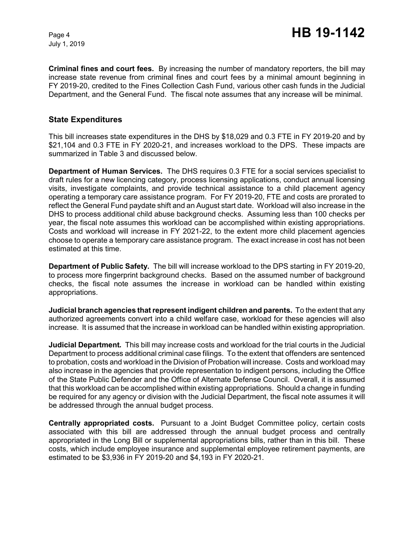**Criminal fines and court fees.** By increasing the number of mandatory reporters, the bill may increase state revenue from criminal fines and court fees by a minimal amount beginning in FY 2019-20, credited to the Fines Collection Cash Fund, various other cash funds in the Judicial Department, and the General Fund. The fiscal note assumes that any increase will be minimal.

#### **State Expenditures**

This bill increases state expenditures in the DHS by \$18,029 and 0.3 FTE in FY 2019-20 and by \$21,104 and 0.3 FTE in FY 2020-21, and increases workload to the DPS. These impacts are summarized in Table 3 and discussed below.

**Department of Human Services.** The DHS requires 0.3 FTE for a social services specialist to draft rules for a new licencing category, process licensing applications, conduct annual licensing visits, investigate complaints, and provide technical assistance to a child placement agency operating a temporary care assistance program. For FY 2019-20, FTE and costs are prorated to reflect the General Fund paydate shift and an August start date. Workload will also increase in the DHS to process additional child abuse background checks. Assuming less than 100 checks per year, the fiscal note assumes this workload can be accomplished within existing appropriations. Costs and workload will increase in FY 2021-22, to the extent more child placement agencies choose to operate a temporary care assistance program. The exact increase in cost has not been estimated at this time.

**Department of Public Safety.** The bill will increase workload to the DPS starting in FY 2019-20, to process more fingerprint background checks. Based on the assumed number of background checks, the fiscal note assumes the increase in workload can be handled within existing appropriations.

**Judicial branch agencies that represent indigent children and parents. To the extent that any** authorized agreements convert into a child welfare case, workload for these agencies will also increase. It is assumed that the increase in workload can be handled within existing appropriation.

**Judicial Department***.* This bill may increase costs and workload for the trial courts in the Judicial Department to process additional criminal case filings. To the extent that offenders are sentenced to probation, costs and workload in the Division of Probation will increase. Costs and workload may also increase in the agencies that provide representation to indigent persons, including the Office of the State Public Defender and the Office of Alternate Defense Council. Overall, it is assumed that this workload can be accomplished within existing appropriations. Should a change in funding be required for any agency or division with the Judicial Department, the fiscal note assumes it will be addressed through the annual budget process.

**Centrally appropriated costs.** Pursuant to a Joint Budget Committee policy, certain costs associated with this bill are addressed through the annual budget process and centrally appropriated in the Long Bill or supplemental appropriations bills, rather than in this bill. These costs, which include employee insurance and supplemental employee retirement payments, are estimated to be \$3,936 in FY 2019-20 and \$4,193 in FY 2020-21.